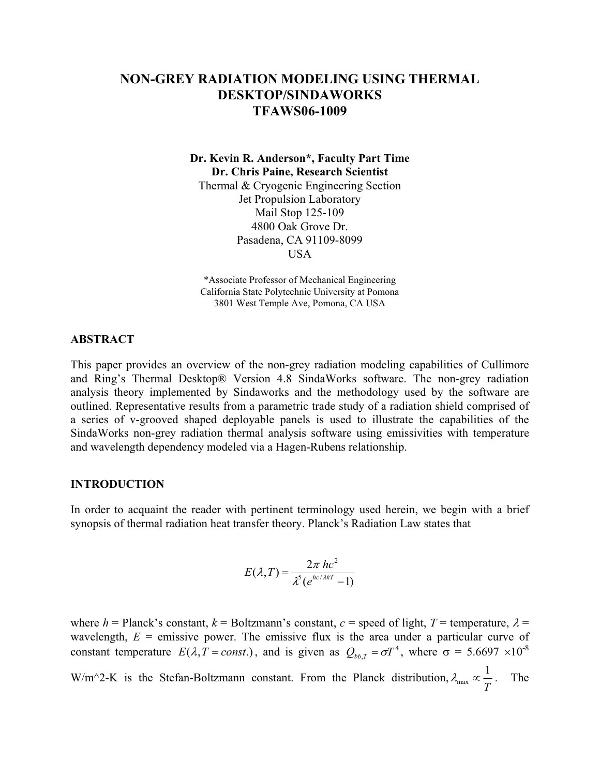# **NON-GREY RADIATION MODELING USING THERMAL DESKTOP/SINDAWORKS TFAWS06-1009**

**Dr. Kevin R. Anderson\*, Faculty Part Time Dr. Chris Paine, Research Scientist** 

Thermal & Cryogenic Engineering Section Jet Propulsion Laboratory Mail Stop 125-109 4800 Oak Grove Dr. Pasadena, CA 91109-8099 USA

\*Associate Professor of Mechanical Engineering California State Polytechnic University at Pomona 3801 West Temple Ave, Pomona, CA USA

### **ABSTRACT**

This paper provides an overview of the non-grey radiation modeling capabilities of Cullimore and Ring's Thermal Desktop® Version 4.8 SindaWorks software. The non-grey radiation analysis theory implemented by Sindaworks and the methodology used by the software are outlined. Representative results from a parametric trade study of a radiation shield comprised of a series of v-grooved shaped deployable panels is used to illustrate the capabilities of the SindaWorks non-grey radiation thermal analysis software using emissivities with temperature and wavelength dependency modeled via a Hagen-Rubens relationship.

#### **INTRODUCTION**

In order to acquaint the reader with pertinent terminology used herein, we begin with a brief synopsis of thermal radiation heat transfer theory. Planck's Radiation Law states that

$$
E(\lambda, T) = \frac{2\pi hc^2}{\lambda^5 (e^{hc/\lambda kT} - 1)}
$$

where  $h =$  Planck's constant,  $k =$  Boltzmann's constant,  $c =$  speed of light,  $T =$  temperature,  $\lambda =$ wavelength,  $E =$  emissive power. The emissive flux is the area under a particular curve of constant temperature  $E(\lambda, T = const.)$ , and is given as  $Q_{bb,T} = \sigma T^4$ , where  $\sigma = 5.6697 \times 10^{-8}$ W/m<sup> $\sim$ </sup>2-K is the Stefan-Boltzmann constant. From the Planck distribution,  $\lambda_{\text{max}} \propto \frac{1}{T}$ . The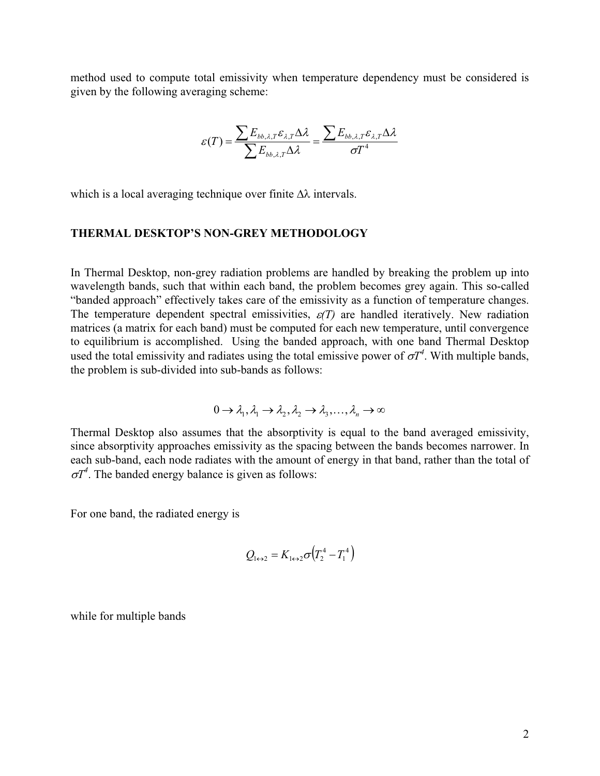method used to compute total emissivity when temperature dependency must be considered is given by the following averaging scheme:

$$
\varepsilon(T) = \frac{\sum E_{bb,\lambda,T} \varepsilon_{\lambda,T} \Delta \lambda}{\sum E_{bb,\lambda,T} \Delta \lambda} = \frac{\sum E_{bb,\lambda,T} \varepsilon_{\lambda,T} \Delta \lambda}{\sigma T^4}
$$

which is a local averaging technique over finite  $\Delta\lambda$  intervals.

### **THERMAL DESKTOP'S NON-GREY METHODOLOGY**

In Thermal Desktop, non-grey radiation problems are handled by breaking the problem up into wavelength bands, such that within each band, the problem becomes grey again. This so-called "banded approach" effectively takes care of the emissivity as a function of temperature changes. The temperature dependent spectral emissivities,  $\varepsilon(T)$  are handled iteratively. New radiation matrices (a matrix for each band) must be computed for each new temperature, until convergence to equilibrium is accomplished. Using the banded approach, with one band Thermal Desktop used the total emissivity and radiates using the total emissive power of  $\sigma T^4$ . With multiple bands, the problem is sub-divided into sub-bands as follows:

$$
0 \to \lambda_1, \lambda_1 \to \lambda_2, \lambda_2 \to \lambda_3, \ldots, \lambda_n \to \infty
$$

Thermal Desktop also assumes that the absorptivity is equal to the band averaged emissivity, since absorptivity approaches emissivity as the spacing between the bands becomes narrower. In each sub-band, each node radiates with the amount of energy in that band, rather than the total of  $\sigma T^4$ . The banded energy balance is given as follows:

For one band, the radiated energy is

$$
Q_{1\leftrightarrow 2} = K_{1\leftrightarrow 2} \sigma \left( T_2^4 - T_1^4 \right)
$$

while for multiple bands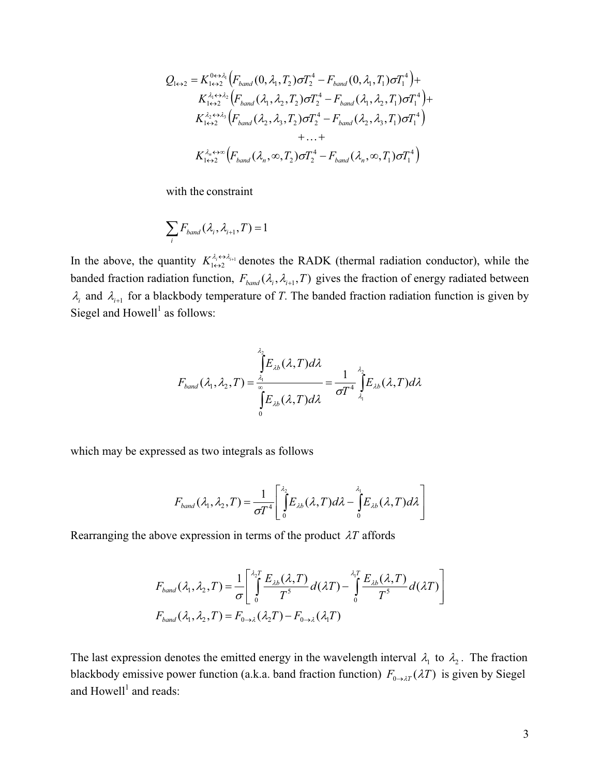$$
Q_{1\leftrightarrow 2} = K_{1\leftrightarrow 2}^{0\leftrightarrow \lambda_1} \left( F_{band} (0, \lambda_1, T_2) \sigma T_2^4 - F_{band} (0, \lambda_1, T_1) \sigma T_1^4 \right) +
$$
  
\n
$$
K_{1\leftrightarrow 2}^{\lambda_1 \leftrightarrow \lambda_2} \left( F_{band} (\lambda_1, \lambda_2, T_2) \sigma T_2^4 - F_{band} (\lambda_1, \lambda_2, T_1) \sigma T_1^4 \right) +
$$
  
\n
$$
K_{1\leftrightarrow 2}^{\lambda_2 \leftrightarrow \lambda_3} \left( F_{band} (\lambda_2, \lambda_3, T_2) \sigma T_2^4 - F_{band} (\lambda_2, \lambda_3, T_1) \sigma T_1^4 \right) + ... +
$$
  
\n
$$
K_{1\leftrightarrow 2}^{\lambda_n \leftrightarrow \infty} \left( F_{band} (\lambda_n, \infty, T_2) \sigma T_2^4 - F_{band} (\lambda_n, \infty, T_1) \sigma T_1^4 \right)
$$

with the constraint

$$
\sum_i F_{band}(\lambda_i, \lambda_{i+1}, T) = 1
$$

In the above, the quantity  $K_{1\leftrightarrow 2}^{\lambda_i \leftrightarrow \lambda_{i+1}}$  $K_{1\leftrightarrow 2}^{\lambda_i\leftrightarrow \lambda_{i+1}}$  denotes the RADK (thermal radiation conductor), while the banded fraction radiation function,  $F_{band}(\lambda_i, \lambda_{i+1}, T)$  gives the fraction of energy radiated between  $\lambda_i$  and  $\lambda_{i+1}$  for a blackbody temperature of *T*. The banded fraction radiation function is given by Siegel and  $Howell<sup>1</sup>$  as follows:

$$
F_{band}(\lambda_1, \lambda_2, T) = \frac{\int\limits_{\lambda_1}^{\lambda_2} E_{\lambda b}(\lambda, T) d\lambda}{\int\limits_{0}^{x} E_{\lambda b}(\lambda, T) d\lambda} = \frac{1}{\sigma T^4} \int\limits_{\lambda_1}^{\lambda_2} E_{\lambda b}(\lambda, T) d\lambda
$$

which may be expressed as two integrals as follows

$$
F_{band}(\lambda_1, \lambda_2, T) = \frac{1}{\sigma T^4} \left[ \int_0^{\lambda_2} E_{\lambda b}(\lambda, T) d\lambda - \int_0^{\lambda_1} E_{\lambda b}(\lambda, T) d\lambda \right]
$$

Rearranging the above expression in terms of the product  $\lambda T$  affords

$$
F_{band}(\lambda_1, \lambda_2, T) = \frac{1}{\sigma} \left[ \int_0^{\lambda_2 T} \frac{E_{\lambda b}(\lambda, T)}{T^5} d(\lambda T) - \int_0^{\lambda_1 T} \frac{E_{\lambda b}(\lambda, T)}{T^5} d(\lambda T) \right]
$$

$$
F_{band}(\lambda_1, \lambda_2, T) = F_{0 \to \lambda}(\lambda_2 T) - F_{0 \to \lambda}(\lambda_1 T)
$$

The last expression denotes the emitted energy in the wavelength interval  $\lambda_1$  to  $\lambda_2$ . The fraction blackbody emissive power function (a.k.a. band fraction function)  $F_{0\to\lambda T}(\lambda T)$  is given by Siegel and  $H$ owell<sup>1</sup> and reads: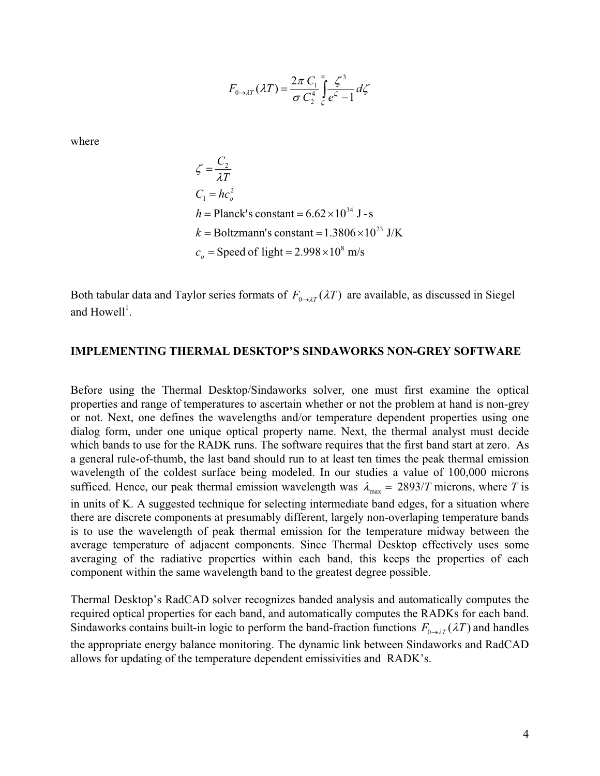$$
F_{0\to\lambda T}(\lambda T) = \frac{2\pi C_1}{\sigma C_2^4} \int_{c}^{\infty} \frac{\zeta^3}{e^{\zeta} - 1} d\zeta
$$

where

$$
\zeta = \frac{C_2}{\lambda T}
$$
  
\n
$$
C_1 = hc_o^2
$$
  
\n
$$
h = \text{Planck's constant} = 6.62 \times 10^{34} \text{ J} - \text{s}
$$
  
\n
$$
k = \text{Boltzmann's constant} = 1.3806 \times 10^{23} \text{ J/K}
$$
  
\n
$$
c_o = \text{Speed of light} = 2.998 \times 10^8 \text{ m/s}
$$

Both tabular data and Taylor series formats of  $F_{0\rightarrow\lambda T}(\lambda T)$  are available, as discussed in Siegel and  $H$ owell<sup>1</sup>.

### **IMPLEMENTING THERMAL DESKTOP'S SINDAWORKS NON-GREY SOFTWARE**

Before using the Thermal Desktop/Sindaworks solver, one must first examine the optical properties and range of temperatures to ascertain whether or not the problem at hand is non-grey or not. Next, one defines the wavelengths and/or temperature dependent properties using one dialog form, under one unique optical property name. Next, the thermal analyst must decide which bands to use for the RADK runs. The software requires that the first band start at zero. As a general rule-of-thumb, the last band should run to at least ten times the peak thermal emission wavelength of the coldest surface being modeled. In our studies a value of 100,000 microns sufficed. Hence, our peak thermal emission wavelength was  $\lambda_{\text{max}} = 2893/T$  microns, where *T* is in units of K. A suggested technique for selecting intermediate band edges, for a situation where there are discrete components at presumably different, largely non-overlaping temperature bands is to use the wavelength of peak thermal emission for the temperature midway between the average temperature of adjacent components. Since Thermal Desktop effectively uses some averaging of the radiative properties within each band, this keeps the properties of each component within the same wavelength band to the greatest degree possible.

Thermal Desktop's RadCAD solver recognizes banded analysis and automatically computes the required optical properties for each band, and automatically computes the RADKs for each band. Sindaworks contains built-in logic to perform the band-fraction functions  $F_{0\to\lambda T}(\lambda T)$  and handles the appropriate energy balance monitoring. The dynamic link between Sindaworks and RadCAD allows for updating of the temperature dependent emissivities and RADK's.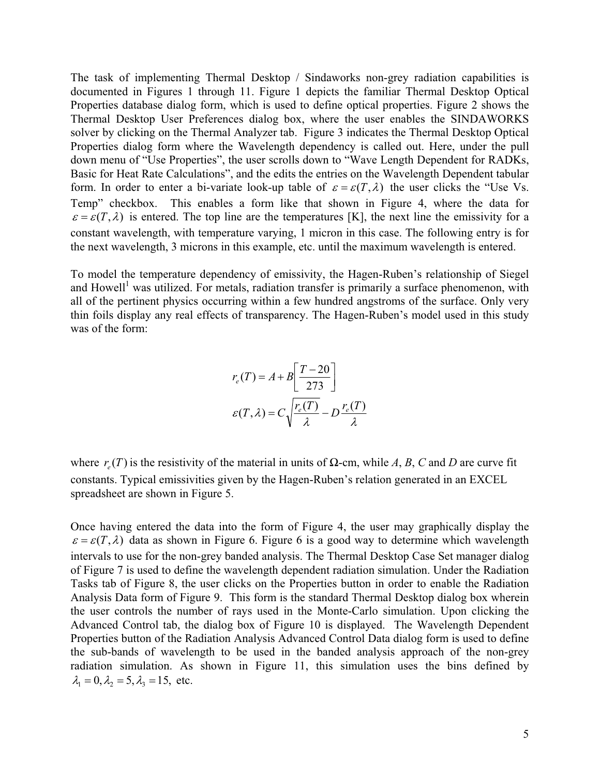The task of implementing Thermal Desktop / Sindaworks non-grey radiation capabilities is documented in Figures 1 through 11. Figure 1 depicts the familiar Thermal Desktop Optical Properties database dialog form, which is used to define optical properties. Figure 2 shows the Thermal Desktop User Preferences dialog box, where the user enables the SINDAWORKS solver by clicking on the Thermal Analyzer tab. Figure 3 indicates the Thermal Desktop Optical Properties dialog form where the Wavelength dependency is called out. Here, under the pull down menu of "Use Properties", the user scrolls down to "Wave Length Dependent for RADKs, Basic for Heat Rate Calculations", and the edits the entries on the Wavelength Dependent tabular form. In order to enter a bi-variate look-up table of  $\varepsilon = \varepsilon(T, \lambda)$  the user clicks the "Use Vs. Temp" checkbox. This enables a form like that shown in Figure 4, where the data for  $\varepsilon = \varepsilon(T,\lambda)$  is entered. The top line are the temperatures [K], the next line the emissivity for a constant wavelength, with temperature varying, 1 micron in this case. The following entry is for the next wavelength, 3 microns in this example, etc. until the maximum wavelength is entered.

To model the temperature dependency of emissivity, the Hagen-Ruben's relationship of Siegel and Howell<sup>1</sup> was utilized. For metals, radiation transfer is primarily a surface phenomenon, with all of the pertinent physics occurring within a few hundred angstroms of the surface. Only very thin foils display any real effects of transparency. The Hagen-Ruben's model used in this study was of the form:

$$
r_e(T) = A + B \left[ \frac{T - 20}{273} \right]
$$

$$
\varepsilon(T, \lambda) = C \sqrt{\frac{r_e(T)}{\lambda} - D \frac{r_e(T)}{\lambda}}
$$

where  $r_e(T)$  is the resistivity of the material in units of  $\Omega$ -cm, while *A*, *B*, *C* and *D* are curve fit constants. Typical emissivities given by the Hagen-Ruben's relation generated in an EXCEL spreadsheet are shown in Figure 5.

Once having entered the data into the form of Figure 4, the user may graphically display the  $\varepsilon = \varepsilon(T,\lambda)$  data as shown in Figure 6. Figure 6 is a good way to determine which wavelength intervals to use for the non-grey banded analysis. The Thermal Desktop Case Set manager dialog of Figure 7 is used to define the wavelength dependent radiation simulation. Under the Radiation Tasks tab of Figure 8, the user clicks on the Properties button in order to enable the Radiation Analysis Data form of Figure 9. This form is the standard Thermal Desktop dialog box wherein the user controls the number of rays used in the Monte-Carlo simulation. Upon clicking the Advanced Control tab, the dialog box of Figure 10 is displayed. The Wavelength Dependent Properties button of the Radiation Analysis Advanced Control Data dialog form is used to define the sub-bands of wavelength to be used in the banded analysis approach of the non-grey radiation simulation. As shown in Figure 11, this simulation uses the bins defined by  $\lambda_1 = 0$ ,  $\lambda_2 = 5$ ,  $\lambda_3 = 15$ , etc.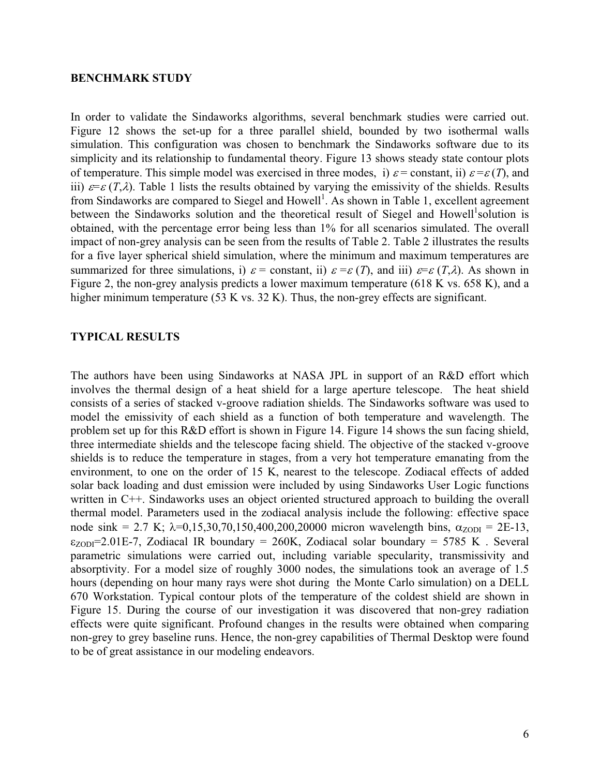#### **BENCHMARK STUDY**

In order to validate the Sindaworks algorithms, several benchmark studies were carried out. Figure 12 shows the set-up for a three parallel shield, bounded by two isothermal walls simulation. This configuration was chosen to benchmark the Sindaworks software due to its simplicity and its relationship to fundamental theory. Figure 13 shows steady state contour plots of temperature. This simple model was exercised in three modes, i)  $\varepsilon$  = constant, ii)  $\varepsilon$  =  $\varepsilon$  (*T*), and iii)  $\varepsilon = \varepsilon (T, \lambda)$ . Table 1 lists the results obtained by varying the emissivity of the shields. Results from Sindaworks are compared to Siegel and Howell<sup>1</sup>. As shown in Table 1, excellent agreement between the Sindaworks solution and the theoretical result of Siegel and Howell<sup>1</sup> solution is obtained, with the percentage error being less than 1% for all scenarios simulated. The overall impact of non-grey analysis can be seen from the results of Table 2. Table 2 illustrates the results for a five layer spherical shield simulation, where the minimum and maximum temperatures are summarized for three simulations, i)  $\varepsilon$  = constant, ii)  $\varepsilon$  =  $\varepsilon$  (*T*), and iii)  $\varepsilon$ = $\varepsilon$  (*T*, $\lambda$ ). As shown in Figure 2, the non-grey analysis predicts a lower maximum temperature (618 K vs. 658 K), and a higher minimum temperature (53 K vs. 32 K). Thus, the non-grey effects are significant.

### **TYPICAL RESULTS**

The authors have been using Sindaworks at NASA JPL in support of an R&D effort which involves the thermal design of a heat shield for a large aperture telescope. The heat shield consists of a series of stacked v-groove radiation shields. The Sindaworks software was used to model the emissivity of each shield as a function of both temperature and wavelength. The problem set up for this R&D effort is shown in Figure 14. Figure 14 shows the sun facing shield, three intermediate shields and the telescope facing shield. The objective of the stacked v-groove shields is to reduce the temperature in stages, from a very hot temperature emanating from the environment, to one on the order of 15 K, nearest to the telescope. Zodiacal effects of added solar back loading and dust emission were included by using Sindaworks User Logic functions written in C++. Sindaworks uses an object oriented structured approach to building the overall thermal model. Parameters used in the zodiacal analysis include the following: effective space node sink = 2.7 K;  $\lambda$ =0,15,30,70,150,400,200,20000 micron wavelength bins,  $\alpha$ <sub>ZODI</sub> = 2E-13,  $\epsilon_{ZODI}$ =2.01E-7, Zodiacal IR boundary = 260K, Zodiacal solar boundary = 5785 K. Several parametric simulations were carried out, including variable specularity, transmissivity and absorptivity. For a model size of roughly 3000 nodes, the simulations took an average of 1.5 hours (depending on hour many rays were shot during the Monte Carlo simulation) on a DELL 670 Workstation. Typical contour plots of the temperature of the coldest shield are shown in Figure 15. During the course of our investigation it was discovered that non-grey radiation effects were quite significant. Profound changes in the results were obtained when comparing non-grey to grey baseline runs. Hence, the non-grey capabilities of Thermal Desktop were found to be of great assistance in our modeling endeavors.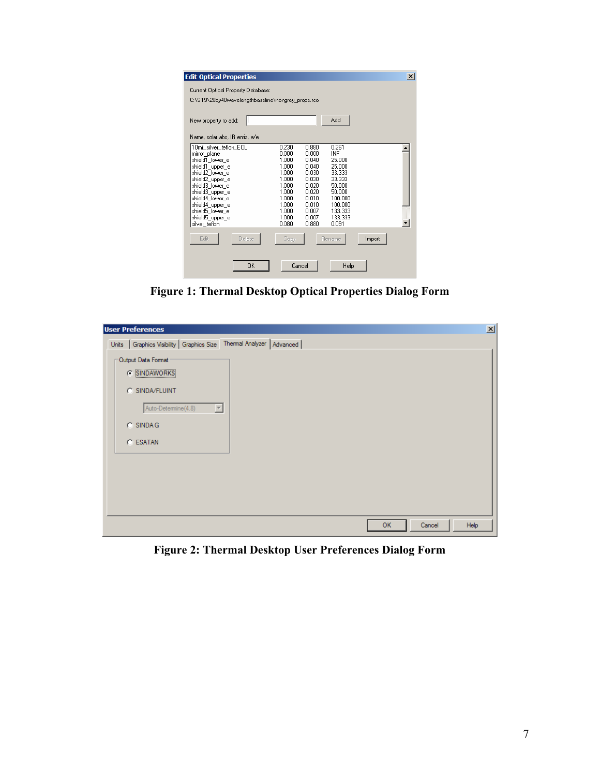| <b>Edit Optical Properties</b>                                                                                                                                                                                                                         |                                                                                                                   |                                                                                                                   |                                                                                                                               |        | $\vert x \vert$ |
|--------------------------------------------------------------------------------------------------------------------------------------------------------------------------------------------------------------------------------------------------------|-------------------------------------------------------------------------------------------------------------------|-------------------------------------------------------------------------------------------------------------------|-------------------------------------------------------------------------------------------------------------------------------|--------|-----------------|
| Current Optical Property Database:<br>C:\ST9\20by40wavelengthbaseline\nongrey_props.rco                                                                                                                                                                |                                                                                                                   |                                                                                                                   |                                                                                                                               |        |                 |
| New property to add:                                                                                                                                                                                                                                   |                                                                                                                   |                                                                                                                   | Add                                                                                                                           |        |                 |
| Name, solar abs, IR emis, a/e                                                                                                                                                                                                                          |                                                                                                                   |                                                                                                                   |                                                                                                                               |        |                 |
| 10mil_silver_teflon_EOL<br>mirror_plane<br>shield1 lower e<br>shield1_upper_e<br>shield2 lower e<br>shield2_upper_e<br>shield3 lower e<br>shield3_upper_e<br>shield4 lower e<br>shield4 upper e<br>shield5 lower e<br>shield5 upper e<br>silver teflon | 0.230<br>0.000<br>1.000<br>1.000<br>1.000<br>1.000<br>1.000<br>1.000<br>1.000<br>1.000<br>1.000<br>1.000<br>0.080 | 0.880<br>0.000<br>0.040<br>0.040<br>0.030<br>0.030<br>0.020<br>0.020<br>0.010<br>0.010<br>0.007<br>0.007<br>0.880 | 0.261<br>INF<br>25,000<br>25.000<br>33.333<br>33.333<br>50.000<br>50.000<br>100.000<br>100.000<br>133.333<br>133.333<br>0.091 |        |                 |
| Delete<br>Edit                                                                                                                                                                                                                                         | Copy                                                                                                              |                                                                                                                   | <b>Rename</b>                                                                                                                 | Import |                 |
| OK                                                                                                                                                                                                                                                     |                                                                                                                   | Cancel                                                                                                            | Help                                                                                                                          |        |                 |

**Figure 1: Thermal Desktop Optical Properties Dialog Form** 

| <b>User Preferences</b>                                                                                        | $\mathbf{x}$ |
|----------------------------------------------------------------------------------------------------------------|--------------|
| Graphics Visibility   Graphics Size   Thermal Analyzer   Advanced  <br>Units                                   |              |
| Output Data Format<br>SINDAWORKS<br>G.<br>C SINDA/FLUINT<br>회<br>Auto-Determine(4.8)<br>$C$ SINDAG<br>C ESATAN |              |
| Help<br><b>OK</b><br>Cancel                                                                                    |              |

**Figure 2: Thermal Desktop User Preferences Dialog Form**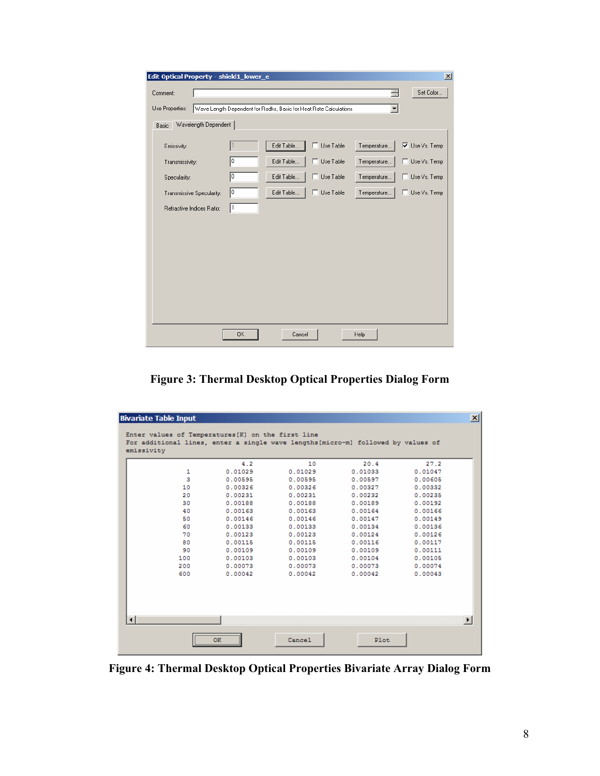| Edit Optical Property - shield1_lower_e |                           |    |                                                                   |                  |                      | $\vert x \vert$       |
|-----------------------------------------|---------------------------|----|-------------------------------------------------------------------|------------------|----------------------|-----------------------|
| Comment:                                |                           |    |                                                                   |                  | ÷                    | Set Color             |
| Use Properties:                         |                           |    | Wave Length Dependent for Radks, Basic for Heat Rate Calculations |                  | $\blacktriangledown$ |                       |
| Basic                                   | Wavelength Dependent      |    |                                                                   |                  |                      |                       |
| Emissivity:                             |                           |    | Edit Table                                                        | Use Table        | Temperature          | <b>▽</b> Use Vs. Temp |
| Transmissivity:                         |                           | O  | Edit Table                                                        | $\Box$ Use Table | Temperature          | Use Vs. Temp          |
| Specularity:                            |                           | O  | Edit Table                                                        | Use Table        | Temperature          | Use Vs. Temp<br>п     |
|                                         | Transmissive Specularity: | 10 | Edit Table                                                        | $\Box$ Use Table | Temperature          | Use Vs. Temp          |
|                                         | Refractive Indices Ratio: | h. |                                                                   |                  |                      |                       |
|                                         |                           |    |                                                                   |                  |                      |                       |
|                                         |                           |    |                                                                   |                  |                      |                       |
|                                         |                           |    |                                                                   |                  |                      |                       |
|                                         |                           |    |                                                                   |                  |                      |                       |
|                                         |                           |    |                                                                   |                  |                      |                       |
|                                         |                           |    |                                                                   |                  |                      |                       |
|                                         |                           |    |                                                                   |                  |                      |                       |
|                                         |                           | 0K | Cancel                                                            |                  | Help                 |                       |

**Figure 3: Thermal Desktop Optical Properties Dialog Form** 

|     | 4.2     | 10      | 20.4    | 27.2    |
|-----|---------|---------|---------|---------|
| 1   | 0.01029 | 0.01029 | 0.01033 | 0.01047 |
| 3   | 0.00595 | 0.00595 | 0.00597 | 0.00605 |
| 10  | 0.00326 | 0.00326 | 0.00327 | 0.00332 |
| 20  | 0.00231 | 0.00231 | 0.00232 | 0.00235 |
| 30  | 0.00188 | 0.00188 | 0.00189 | 0.00192 |
| 40  | 0.00163 | 0.00163 | 0.00164 | 0.00166 |
| 50  | 0.00146 | 0.00146 | 0.00147 | 0.00149 |
| 60  | 0.00133 | 0.00133 | 0.00134 | 0.00136 |
| 70  | 0.00123 | 0.00123 | 0.00124 | 0.00126 |
| 80  | 0.00115 | 0.00115 | 0.00116 | 0.00117 |
| 90  | 0.00109 | 0.00109 | 0.00109 | 0.00111 |
| 100 | 0.00103 | 0.00103 | 0.00104 | 0.00105 |
| 200 | 0.00073 | 0.00073 | 0.00073 | 0.00074 |
| 600 | 0.00042 | 0.00042 | 0.00042 | 0.00043 |
|     |         |         |         |         |

**Figure 4: Thermal Desktop Optical Properties Bivariate Array Dialog Form**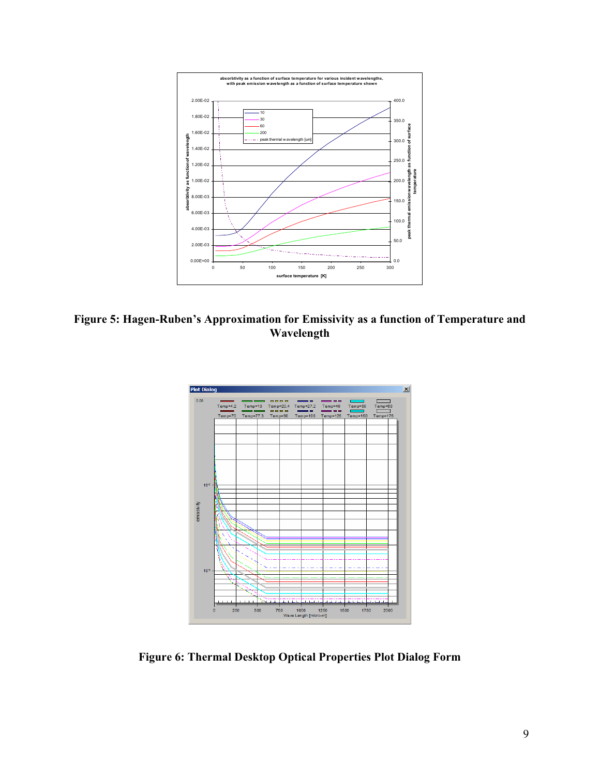

**Figure 5: Hagen-Ruben's Approximation for Emissivity as a function of Temperature and Wavelength**



**Figure 6: Thermal Desktop Optical Properties Plot Dialog Form**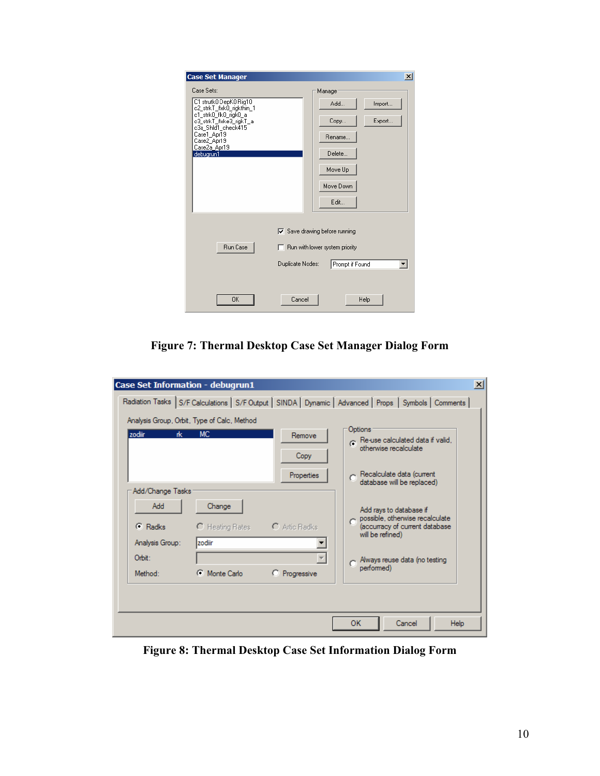| <b>Case Set Manager</b>                             | $\vert x \vert$                                                        |
|-----------------------------------------------------|------------------------------------------------------------------------|
| Case Sets:                                          | Manager                                                                |
| C1 strutk0 DepK0 Rig10<br>c2_strkT_flxk0_rigkthin_1 | Add<br>Import                                                          |
| c1_strk0_flk0_rigk0_a<br>c3_strkT_flxke3_rigkT_a    | Export<br>Copy                                                         |
| c3a_Shld1_check415<br>Case1_Apr19<br>Case2_Apr19    | Rename                                                                 |
| Case2a_Apr19<br>debugrun1                           | Delete                                                                 |
|                                                     | Move Up                                                                |
|                                                     | Move Down                                                              |
|                                                     | Edit                                                                   |
| Run Case                                            | $\nabla$ Save drawing before running<br>Run with lower system priority |
| Duplicate Nodes:                                    | Prompt if Found                                                        |
|                                                     |                                                                        |
| <b>OK</b><br>Cancel                                 | Help                                                                   |

**Figure 7: Thermal Desktop Case Set Manager Dialog Form** 

| <b>Case Set Information - debugrun1</b>     |                | $\vert x \vert$                                                                                       |
|---------------------------------------------|----------------|-------------------------------------------------------------------------------------------------------|
|                                             |                | Radiation Tasks S/F Calculations S/F Output   SINDA   Dynamic   Advanced   Props   Symbols   Comments |
| Analysis Group, Orbit, Type of Calc, Method |                |                                                                                                       |
| MC.<br>zodiir<br>rk.                        | Remove<br>Copy | Options<br>$\sigma$ Re-use calculated data if valid,<br>otherwise recalculate                         |
|                                             | Properties     | Recalculate data (current<br>database will be replaced)                                               |
| Add/Change Tasks                            |                |                                                                                                       |
| Add<br>Change                               |                | Add rays to database if<br>possible, otherwise recalculate                                            |
| $\subseteq$ Radks<br>C Heating Rates        | C Artic Radks  | (accurracy of current database<br>will be refined)                                                    |
| Izodiir<br>Analysis Group:                  |                |                                                                                                       |
| Orbit:                                      |                | Always reuse data (no testing                                                                         |
| Monte Carlo<br>G.<br>Method:                | C Progressive  | performed)                                                                                            |
|                                             |                |                                                                                                       |
|                                             |                | ОΚ<br>Cancel<br>Help                                                                                  |

**Figure 8: Thermal Desktop Case Set Information Dialog Form**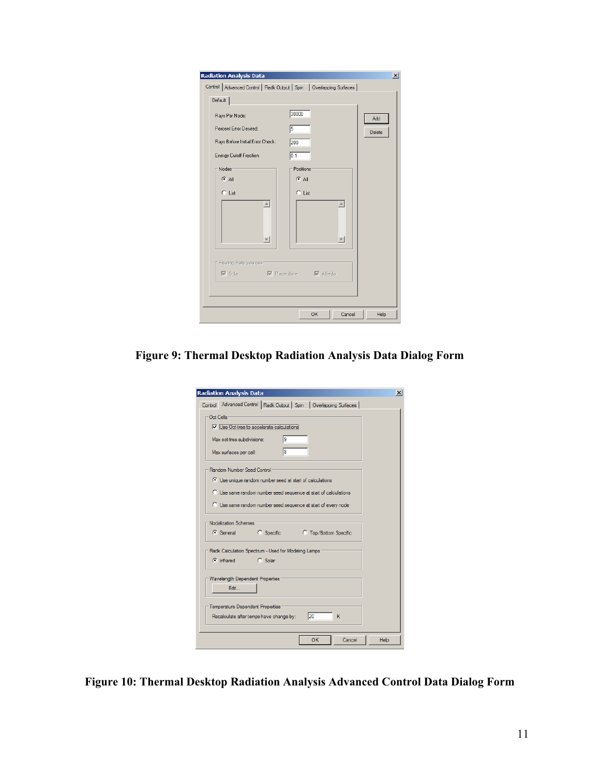| Default<br>Rays Per Node:                                                                                                 | 30000                    |               |
|---------------------------------------------------------------------------------------------------------------------------|--------------------------|---------------|
| Percent Error Desired:                                                                                                    | $\sqrt{5}$               | Add<br>Delete |
| Rays Before Initial Error Check:<br>Energy Cutoff Fraction:                                                               | 200<br>$\overline{0.1}$  |               |
| Nodes <sup>-</sup>                                                                                                        | Positions                |               |
| $G$ All                                                                                                                   | $G$ All                  |               |
| C List<br>$\blacktriangle$                                                                                                | $C$ List                 |               |
|                                                                                                                           |                          |               |
| $\overline{\phantom{m}}$                                                                                                  | $\overline{\phantom{a}}$ |               |
|                                                                                                                           |                          |               |
| Heating Rate Sources-<br>$\overline{\mathbb{V}}$ Solar $\overline{\mathbb{V}}$ Planetshine $\overline{\mathbb{V}}$ Albedo |                          |               |
|                                                                                                                           |                          |               |

**Figure 9: Thermal Desktop Radiation Analysis Data Dialog Form** 

| Control Advanced Control   Radk Output   Spin   Overlapping Surfaces |                |    |                                  |   |  |
|----------------------------------------------------------------------|----------------|----|----------------------------------|---|--|
|                                                                      |                |    |                                  |   |  |
| Oct Cells                                                            |                |    |                                  |   |  |
| V iUse Oct tree to accelerate calculations                           |                |    |                                  |   |  |
|                                                                      |                |    |                                  |   |  |
| Max oct-tree subdivisions:                                           |                | l9 |                                  |   |  |
| Max surfaces per cell:                                               |                | 18 |                                  |   |  |
| Random Number Seed Control:                                          |                |    |                                  |   |  |
| C Use unique random number seed at start of calculations             |                |    |                                  |   |  |
| C Use same random number seed sequence at start of calculations      |                |    |                                  |   |  |
|                                                                      |                |    |                                  |   |  |
| C Use same random number seed sequence at start of every node        |                |    |                                  |   |  |
|                                                                      |                |    |                                  |   |  |
|                                                                      |                |    |                                  |   |  |
| Nodalization Schemes                                                 |                |    |                                  |   |  |
| G General C Specific                                                 |                |    | <sup>C</sup> Top/Bottom Specific |   |  |
|                                                                      |                |    |                                  |   |  |
| Radk Calculation Spectrum - Used for Modeling Lamps                  |                |    |                                  |   |  |
| $\bullet$ Infrared                                                   | <b>C</b> Solar |    |                                  |   |  |
|                                                                      |                |    |                                  |   |  |
|                                                                      |                |    |                                  |   |  |
| Wavelength Dependent Properties                                      |                |    |                                  |   |  |
| Edit                                                                 |                |    |                                  |   |  |
|                                                                      |                |    |                                  |   |  |
| Temperature Dependent Properties                                     |                |    |                                  |   |  |
| Recalculate after temps have change by:                              |                |    | 120                              | к |  |
|                                                                      |                |    |                                  |   |  |
|                                                                      |                |    | OK                               |   |  |

**Figure 10: Thermal Desktop Radiation Analysis Advanced Control Data Dialog Form**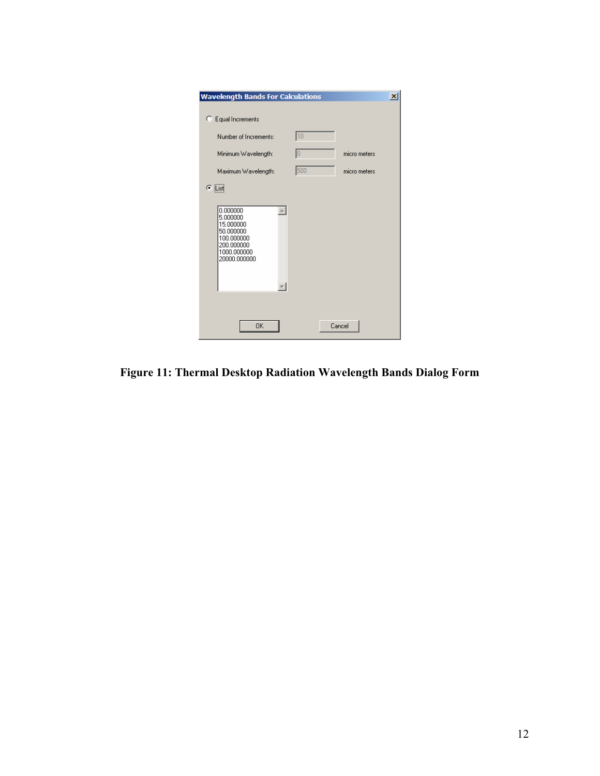| <b>Wavelength Bands For Calculations</b>                                                                  |     |              | $\vert x \vert$ |
|-----------------------------------------------------------------------------------------------------------|-----|--------------|-----------------|
| C Equal Increments                                                                                        |     |              |                 |
| Number of Increments:                                                                                     | 10  |              |                 |
| Minimum Wavelength:                                                                                       | 10  | micro meters |                 |
| Maximum Wavelength:                                                                                       | 500 | micro meters |                 |
| $\subseteq$ [List]                                                                                        |     |              |                 |
| 0.000000<br>5.000000<br>15.000000<br>50.000000<br>100.000000<br>200.000000<br>1000.000000<br>20000.000000 |     |              |                 |
| <b>OK</b>                                                                                                 |     | Cancel       |                 |

**Figure 11: Thermal Desktop Radiation Wavelength Bands Dialog Form**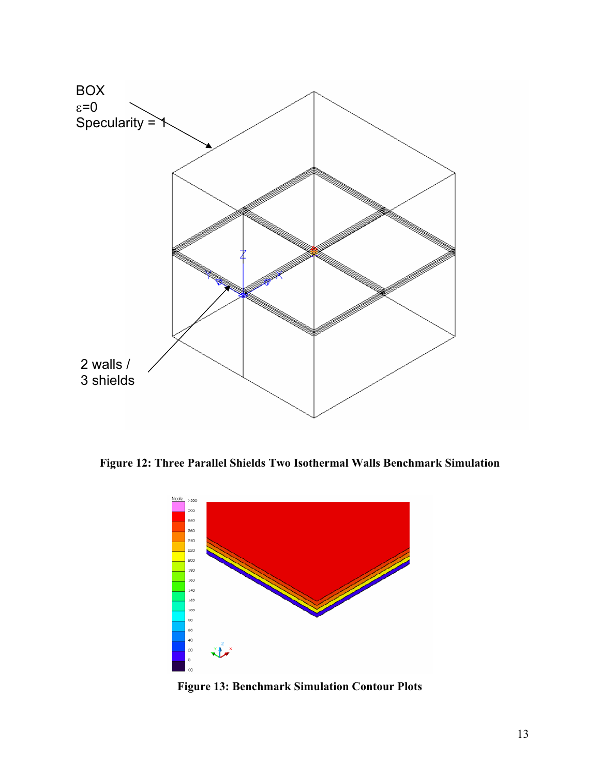

**Figure 12: Three Parallel Shields Two Isothermal Walls Benchmark Simulation** 



**Figure 13: Benchmark Simulation Contour Plots**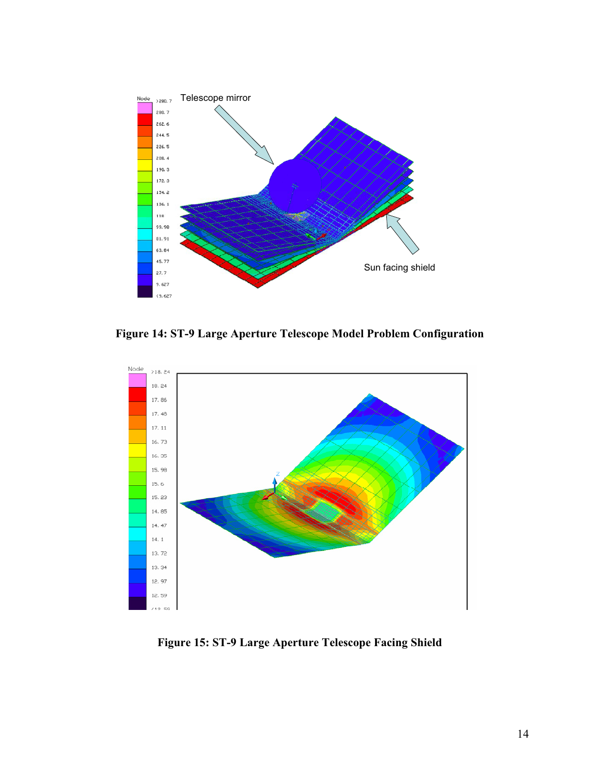

**Figure 14: ST-9 Large Aperture Telescope Model Problem Configuration** 



**Figure 15: ST-9 Large Aperture Telescope Facing Shield**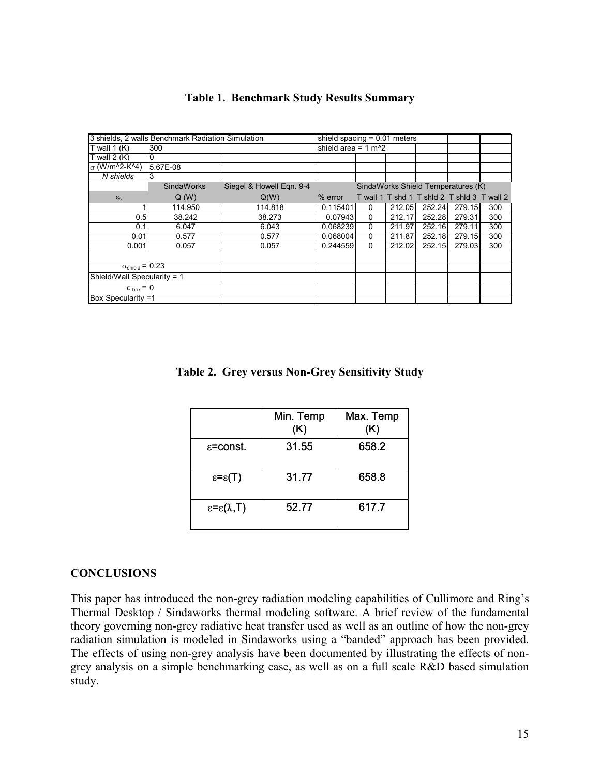|                                 | 3 shields, 2 walls Benchmark Radiation Simulation |                          | shield spacing $= 0.01$ meters |              |        |                                             |        |     |
|---------------------------------|---------------------------------------------------|--------------------------|--------------------------------|--------------|--------|---------------------------------------------|--------|-----|
| T wall $1(K)$                   | 300                                               |                          | shield area = $1 \text{ m}^2$  |              |        |                                             |        |     |
| T wall $2(K)$                   | 0                                                 |                          |                                |              |        |                                             |        |     |
| $σ (W/m^2-K^4)$                 | 5.67E-08                                          |                          |                                |              |        |                                             |        |     |
| N shields                       | 3                                                 |                          |                                |              |        |                                             |        |     |
|                                 | <b>SindaWorks</b>                                 | Siegel & Howell Egn. 9-4 |                                |              |        | SindaWorks Shield Temperatures (K)          |        |     |
| $\varepsilon_{\rm s}$           | Q(W)                                              | Q(W)                     | $%$ error                      |              |        | T wall 1 T shd 1 T shid 2 T shid 3 T wall 2 |        |     |
|                                 | 114.950                                           | 114.818                  | 0.115401                       | 0            | 212.05 | 252.24                                      | 279.15 | 300 |
| 0.5                             | 38.242                                            | 38.273                   | 0.07943                        | $\mathbf{0}$ | 212.17 | 252.28                                      | 279.31 | 300 |
| 0.1                             | 6.047                                             | 6.043                    | 0.068239                       | 0            | 211.97 | 252.16                                      | 279.11 | 300 |
| 0.01                            | 0.577                                             | 0.577                    | 0.068004                       | $\mathbf{0}$ | 211.87 | 252.18                                      | 279.15 | 300 |
| 0.001                           | 0.057                                             | 0.057                    | 0.244559                       | $\mathbf{0}$ | 212.02 | 252.15                                      | 279.03 | 300 |
|                                 |                                                   |                          |                                |              |        |                                             |        |     |
| $\alpha_{\text{shield}} = 0.23$ |                                                   |                          |                                |              |        |                                             |        |     |
| Shield/Wall Specularity = 1     |                                                   |                          |                                |              |        |                                             |        |     |
| $\epsilon_{\text{box}} =  0 $   |                                                   |                          |                                |              |        |                                             |        |     |
| Box Specularity =1              |                                                   |                          |                                |              |        |                                             |        |     |

### **Table 1. Benchmark Study Results Summary**

**Table 2. Grey versus Non-Grey Sensitivity Study** 

|                                   | Min. Temp<br>(K) | Max. Temp<br>(K) |
|-----------------------------------|------------------|------------------|
| $\epsilon$ =const.                | 31.55            | 658.2            |
| $\epsilon = \epsilon(T)$          | 31.77            | 658.8            |
| $\epsilon = \epsilon(\lambda, T)$ | 52.77            | 617.7            |

#### **CONCLUSIONS**

This paper has introduced the non-grey radiation modeling capabilities of Cullimore and Ring's Thermal Desktop / Sindaworks thermal modeling software. A brief review of the fundamental theory governing non-grey radiative heat transfer used as well as an outline of how the non-grey radiation simulation is modeled in Sindaworks using a "banded" approach has been provided. The effects of using non-grey analysis have been documented by illustrating the effects of nongrey analysis on a simple benchmarking case, as well as on a full scale R&D based simulation study.